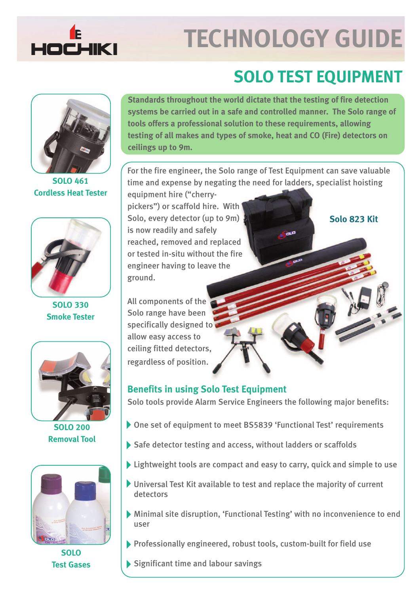

# **TECHNOLOGY GUIDE**

# **SOLO TEST EQUIPMENT**



**SOLO 461 Cordless Heat Tester**



**SOLO 330 Smoke Tester**



**SOLO 200 Removal Tool**



**SOLO Test Gases** **Standards throughout the world dictate that the testing of fire detection systems be carried out in a safe and controlled manner. The Solo range of tools offers a professional solution to these requirements, allowing testing of all makes and types of smoke, heat and CO (Fire) detectors on ceilings up to 9m.**

For the fire engineer, the Solo range of Test Equipment can save valuable time and expense by negating the need for ladders, specialist hoisting

equipment hire ("cherrypickers") or scaffold hire. With Solo, every detector (up to 9m) is now readily and safely reached, removed and replaced or tested in-situ without the fire engineer having to leave the ground.

All components of the Solo range have been specifically designed to allow easy access to ceiling fitted detectors, regardless of position.

# **Benefits in using Solo Test Equipment**

Solo tools provide Alarm Service Engineers the following major benefits:

- One set of equipment to meet BS5839 'Functional Test' requirements
- Safe detector testing and access, without ladders or scaffolds
- I sightweight tools are compact and easy to carry, quick and simple to use
- Universal Test Kit available to test and replace the majority of current detectors
- Minimal site disruption, 'Functional Testing' with no inconvenience to end user
- Professionally engineered, robust tools, custom-built for field use

Significant time and labour savings

# **Solo 823 Kit**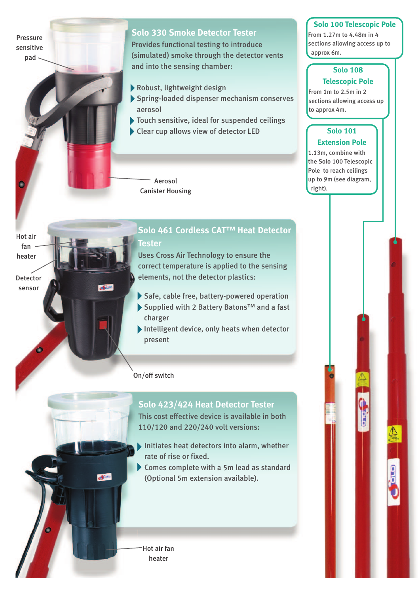Pressure sensitive pad

Hot air fan heater

Detector sensor

# **Solo 330 Smoke Detector Tester**

Provides functional testing to introduce (simulated) smoke through the detector vents and into the sensing chamber:

- Robust, lightweight design
- Spring-loaded dispenser mechanism conserves aerosol
- Touch sensitive, ideal for suspended ceilings
- Clear cup allows view of detector LED

Aerosol Canister Housing

# **Solo 461 Cordless CAT™ Heat Detector Tester**

Uses Cross Air Technology to ensure the correct temperature is applied to the sensing elements, not the detector plastics:

- Safe, cable free, battery-powered operation
- ▶ Supplied with 2 Battery Batons<sup>™</sup> and a fast charger
- Intelligent device, only heats when detector present

On/off switch

# **Solo 423/424 Heat Detector Tester**

This cost effective device is available in both 110/120 and 220/240 volt versions:

- Initiates heat detectors into alarm, whether rate of rise or fixed.
- Comes complete with a 5m lead as standard (Optional 5m extension available).

Hot air fan heater

**AFRICA** 

# **Solo 100 Telescopic Pole**

From 1.27m to 4.48m in 4 sections allowing access up to approx 6m.

#### **Solo 108 Telescopic Pole**

From 1m to 2.5m in 2 sections allowing access up to approx 4m.

#### **Solo 101 Extension Pole**

1.13m, combine with the Solo 100 Telescopic Pole to reach ceilings up to 9m (see diagram, right).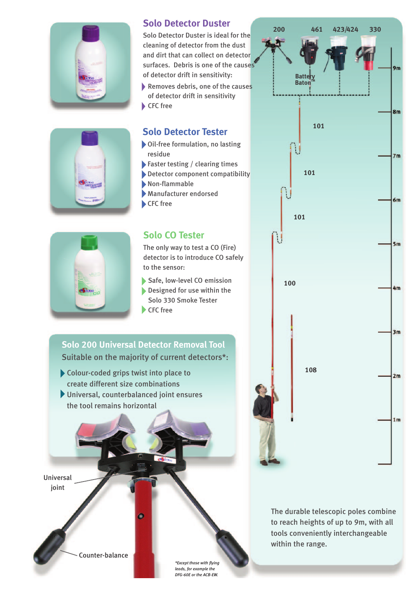

# **Solo Detector Duster**

Solo Detector Duster is ideal for the cleaning of detector from the dust and dirt that can collect on detector surfaces. Debris is one of the causes of detector drift in sensitivity: Removes debris, one of the causes

of detector drift in sensitivity CFC free

# **Solo Detector Tester**

- Oil-free formulation, no lasting residue
- Faster testing / clearing times
- Detector component compatibility
- Non-flammable
- Manufacturer endorsed
- CFC free



# **Solo CO Tester**

The only way to test a CO (Fire) detector is to introduce CO safely to the sensor:

Safe, low-level CO emission

Designed for use within the Solo 330 Smoke Tester CFC free

# **Solo 200 Universal Detector Removal Tool** Suitable on the majority of current detectors\*:

- Colour-coded grips twist into place to create different size combinations
- Universal, counterbalanced joint ensures the tool remains horizontal

 $\bullet$ 

Universal joint



*\*Except those with flying leads, for example the DFG-60E or the ACB-EW.* **200 461 330 423/424**  $9<sub>m</sub>$ **Battery Baton**  $8<sub>m</sub>$ **101**  $7<sub>m</sub>$ **101**  $6m$ **101**  $5m$ **100**  $4m$  $3m$ **108**  $2m$  $1<sub>m</sub>$ 

The durable telescopic poles combine to reach heights of up to 9m, with all tools conveniently interchangeable within the range.